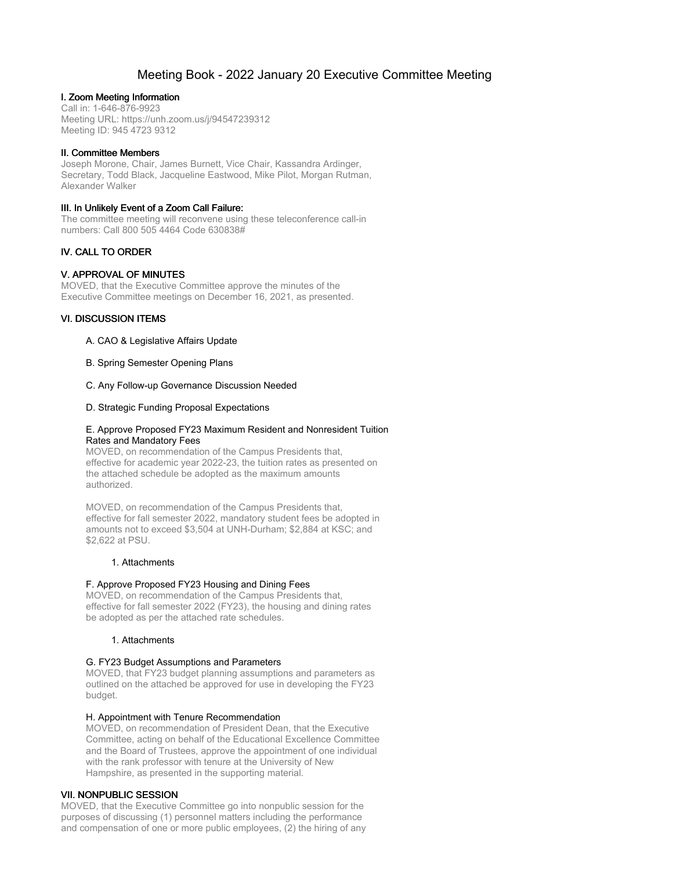# Meeting Book - 2022 January 20 Executive Committee Meeting

# I. Zoom Meeting Information

Call in: 1-646-876-9923 Meeting URL: https://unh.zoom.us/j/94547239312 Meeting ID: 945 4723 9312

# II. Committee Members

Joseph Morone, Chair, James Burnett, Vice Chair, Kassandra Ardinger, Secretary, Todd Black, Jacqueline Eastwood, Mike Pilot, Morgan Rutman, Alexander Walker

# III. In Unlikely Event of a Zoom Call Failure:

The committee meeting will reconvene using these teleconference call-in numbers: Call 800 505 4464 Code 630838#

# IV. CALL TO ORDER

# V. APPROVAL OF MINUTES

MOVED, that the Executive Committee approve the minutes of the Executive Committee meetings on December 16, 2021, as presented.

# VI. DISCUSSION ITEMS

# A. CAO & Legislative Affairs Update

B. Spring Semester Opening Plans

#### C. Any Follow-up Governance Discussion Needed

#### D. Strategic Funding Proposal Expectations

#### E. Approve Proposed FY23 Maximum Resident and Nonresident Tuition Rates and Mandatory Fees

MOVED, on recommendation of the Campus Presidents that, effective for academic year 2022-23, the tuition rates as presented on the attached schedule be adopted as the maximum amounts authorized.

MOVED, on recommendation of the Campus Presidents that, effective for fall semester 2022, mandatory student fees be adopted in amounts not to exceed \$3,504 at UNH-Durham; \$2,884 at KSC; and \$2,622 at PSU.

# 1. Attachments

# F. Approve Proposed FY23 Housing and Dining Fees

MOVED, on recommendation of the Campus Presidents that, effective for fall semester 2022 (FY23), the housing and dining rates be adopted as per the attached rate schedules.

# 1. Attachments

# G. FY23 Budget Assumptions and Parameters

MOVED, that FY23 budget planning assumptions and parameters as outlined on the attached be approved for use in developing the FY23 budget.

#### H. Appointment with Tenure Recommendation

MOVED, on recommendation of President Dean, that the Executive Committee, acting on behalf of the Educational Excellence Committee and the Board of Trustees, approve the appointment of one individual with the rank professor with tenure at the University of New Hampshire, as presented in the supporting material.

# VII. NONPUBLIC SESSION

MOVED, that the Executive Committee go into nonpublic session for the purposes of discussing (1) personnel matters including the performance and compensation of one or more public employees, (2) the hiring of any